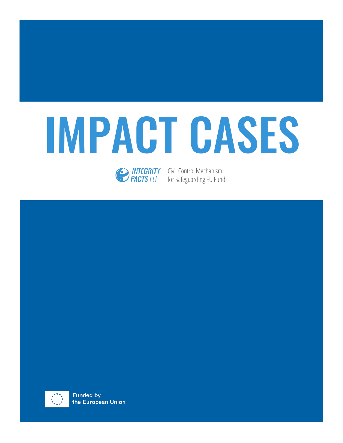

**EXECUTE SECONDE INTEGRITY** | Civil Control Mechanism<br> **PACTS** EU | for Safeguarding EU Funds

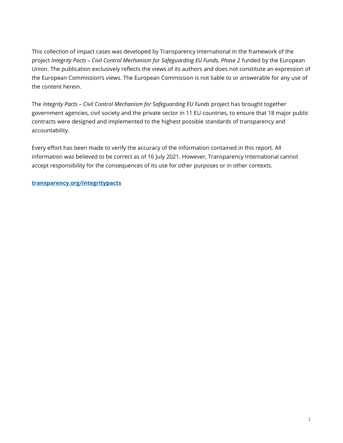This collection of impact cases was developed by Transparency International in the framework of the project *Integrity Pacts – Civil Control Mechanism for Safeguarding EU Funds, Phase 2* funded by the European Union. The publication exclusively reflects the views of its authors and does not constitute an expression of the European Commission's views. The European Commission is not liable to or answerable for any use of the content herein.

The *Integrity Pacts – Civil Control Mechanism for Safeguarding EU Funds* project has brought together government agencies, civil society and the private sector in 11 EU countries, to ensure that 18 major public contracts were designed and implemented to the highest possible standards of transparency and accountability.

Every effort has been made to verify the accuracy of the information contained in this report. All information was believed to be correct as of 16 July 2021. However, Transparency International cannot accept responsibility for the consequences of its use for other purposes or in other contexts.

#### **[transparency.org/integritypacts](https://www.transparency.org/en/projects/integritypacts)**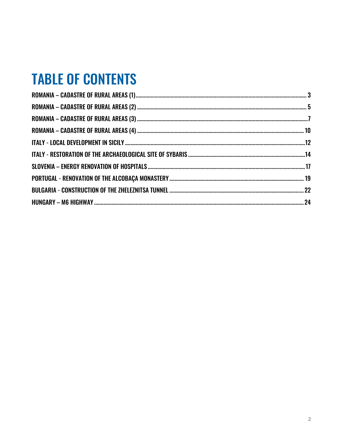## **TABLE OF CONTENTS**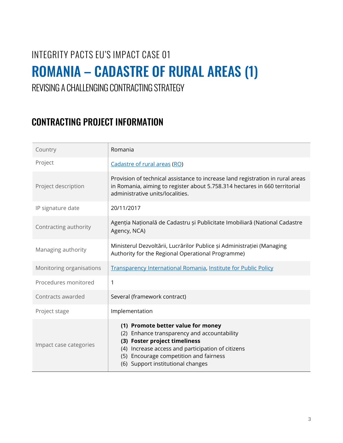## <span id="page-3-0"></span>INTEGRITY PACTS EU'S IMPACT CASE 01 ROMANIA – CADASTRE OF RURAL AREAS (1)

REVISING A CHALLENGING CONTRACTING STRATEGY

| Country                  | Romania                                                                                                                                                                                                                                                |
|--------------------------|--------------------------------------------------------------------------------------------------------------------------------------------------------------------------------------------------------------------------------------------------------|
| Project                  | Cadastre of rural areas (RO)                                                                                                                                                                                                                           |
| Project description      | Provision of technical assistance to increase land registration in rural areas<br>in Romania, aiming to register about 5.758.314 hectares in 660 territorial<br>administrative units/localities.                                                       |
| IP signature date        | 20/11/2017                                                                                                                                                                                                                                             |
| Contracting authority    | Agenția Națională de Cadastru și Publicitate Imobiliară (National Cadastre<br>Agency, NCA)                                                                                                                                                             |
| Managing authority       | Ministerul Dezvoltării, Lucrărilor Publice și Administrației (Managing<br>Authority for the Regional Operational Programme)                                                                                                                            |
| Monitoring organisations | Transparency International Romania, Institute for Public Policy                                                                                                                                                                                        |
| Procedures monitored     | 1                                                                                                                                                                                                                                                      |
| Contracts awarded        | Several (framework contract)                                                                                                                                                                                                                           |
| Project stage            | Implementation                                                                                                                                                                                                                                         |
| Impact case categories   | (1) Promote better value for money<br>(2) Enhance transparency and accountability<br>(3) Foster project timeliness<br>(4) Increase access and participation of citizens<br>(5) Encourage competition and fairness<br>(6) Support institutional changes |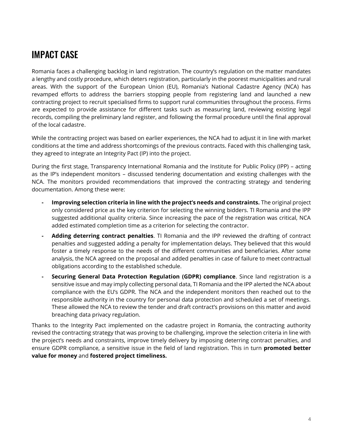Romania faces a challenging backlog in land registration. The country's regulation on the matter mandates a lengthy and costly procedure, which deters registration, particularly in the poorest municipalities and rural areas. With the support of the European Union (EU), Romania's National Cadastre Agency (NCA) has revamped efforts to address the barriers stopping people from registering land and launched a new contracting project to recruit specialised firms to support rural communities throughout the process. Firms are expected to provide assistance for different tasks such as measuring land, reviewing existing legal records, compiling the preliminary land register, and following the formal procedure until the final approval of the local cadastre.

While the contracting project was based on earlier experiences, the NCA had to adjust it in line with market conditions at the time and address shortcomings of the previous contracts. Faced with this challenging task, they agreed to integrate an Integrity Pact (IP) into the project.

During the first stage, Transparency International Romania and the Institute for Public Policy (IPP) – acting as the IP's independent monitors – discussed tendering documentation and existing challenges with the NCA. The monitors provided recommendations that improved the contracting strategy and tendering documentation. Among these were:

- **- Improving selection criteria in line with the project's needs and constraints.** The original project only considered price as the key criterion for selecting the winning bidders. TI Romania and the IPP suggested additional quality criteria. Since increasing the pace of the registration was critical, NCA added estimated completion time as a criterion for selecting the contractor.
- **- Adding deterring contract penalties**. TI Romania and the IPP reviewed the drafting of contract penalties and suggested adding a penalty for implementation delays. They believed that this would foster a timely response to the needs of the different communities and beneficiaries. After some analysis, the NCA agreed on the proposal and added penalties in case of failure to meet contractual obligations according to the established schedule.
- **- Securing General Data Protection Regulation (GDPR) compliance**. Since land registration is a sensitive issue and may imply collecting personal data, TI Romania and the IPP alerted the NCA about compliance with the EU's GDPR. The NCA and the independent monitors then reached out to the responsible authority in the country for personal data protection and scheduled a set of meetings. These allowed the NCA to review the tender and draft contract's provisions on this matter and avoid breaching data privacy regulation.

Thanks to the Integrity Pact implemented on the cadastre project in Romania, the contracting authority revised the contracting strategy that was proving to be challenging, improve the selection criteria in line with the project's needs and constraints, improve timely delivery by imposing deterring contract penalties, and ensure GDPR compliance, a sensitive issue in the field of land registration. This in turn **promoted better value for money** and **fostered project timeliness.**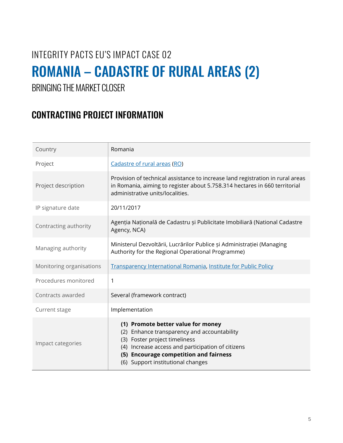## <span id="page-5-0"></span>INTEGRITY PACTS EU'S IMPACT CASE 02 ROMANIA – CADASTRE OF RURAL AREAS (2)

BRINGING THE MARKET CLOSER

| Country                  | Romania                                                                                                                                                                                                                                                         |
|--------------------------|-----------------------------------------------------------------------------------------------------------------------------------------------------------------------------------------------------------------------------------------------------------------|
| Project                  | Cadastre of rural areas (RO)                                                                                                                                                                                                                                    |
| Project description      | Provision of technical assistance to increase land registration in rural areas<br>in Romania, aiming to register about 5.758.314 hectares in 660 territorial<br>administrative units/localities.                                                                |
| IP signature date        | 20/11/2017                                                                                                                                                                                                                                                      |
| Contracting authority    | Agenția Națională de Cadastru și Publicitate Imobiliară (National Cadastre<br>Agency, NCA)                                                                                                                                                                      |
| Managing authority       | Ministerul Dezvoltării, Lucrărilor Publice și Administrației (Managing<br>Authority for the Regional Operational Programme)                                                                                                                                     |
| Monitoring organisations | Transparency International Romania, Institute for Public Policy                                                                                                                                                                                                 |
| Procedures monitored     | 1                                                                                                                                                                                                                                                               |
| Contracts awarded        | Several (framework contract)                                                                                                                                                                                                                                    |
| Current stage            | Implementation                                                                                                                                                                                                                                                  |
| Impact categories        | (1) Promote better value for money<br>Enhance transparency and accountability<br>(2)<br>Foster project timeliness<br>(3)<br>Increase access and participation of citizens<br>(4)<br>(5) Encourage competition and fairness<br>(6) Support institutional changes |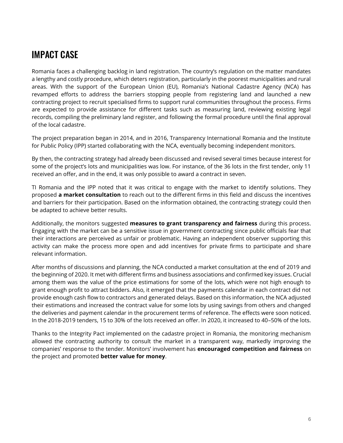Romania faces a challenging backlog in land registration. The country's regulation on the matter mandates a lengthy and costly procedure, which deters registration, particularly in the poorest municipalities and rural areas. With the support of the European Union (EU), Romania's National Cadastre Agency (NCA) has revamped efforts to address the barriers stopping people from registering land and launched a new contracting project to recruit specialised firms to support rural communities throughout the process. Firms are expected to provide assistance for different tasks such as measuring land, reviewing existing legal records, compiling the preliminary land register, and following the formal procedure until the final approval of the local cadastre.

The project preparation began in 2014, and in 2016, Transparency International Romania and the Institute for Public Policy (IPP) started collaborating with the NCA, eventually becoming independent monitors.

By then, the contracting strategy had already been discussed and revised several times because interest for some of the project's lots and municipalities was low. For instance, of the 36 lots in the first tender, only 11 received an offer, and in the end, it was only possible to award a contract in seven.

TI Romania and the IPP noted that it was critical to engage with the market to identify solutions. They proposed **a market consultation** to reach out to the different firms in this field and discuss the incentives and barriers for their participation. Based on the information obtained, the contracting strategy could then be adapted to achieve better results.

Additionally, the monitors suggested **measures to grant transparency and fairness** during this process. Engaging with the market can be a sensitive issue in government contracting since public officials fear that their interactions are perceived as unfair or problematic. Having an independent observer supporting this activity can make the process more open and add incentives for private firms to participate and share relevant information.

After months of discussions and planning, the NCA conducted a market consultation at the end of 2019 and the beginning of 2020. It met with different firms and business associations and confirmed key issues. Crucial among them was the value of the price estimations for some of the lots, which were not high enough to grant enough profit to attract bidders. Also, it emerged that the payments calendar in each contract did not provide enough cash flow to contractors and generated delays. Based on this information, the NCA adjusted their estimations and increased the contract value for some lots by using savings from others and changed the deliveries and payment calendar in the procurement terms of reference. The effects were soon noticed. In the 2018-2019 tenders, 15 to 30% of the lots received an offer. In 2020, it increased to 40–50% of the lots.

Thanks to the Integrity Pact implemented on the cadastre project in Romania, the monitoring mechanism allowed the contracting authority to consult the market in a transparent way, markedly improving the companies' response to the tender. Monitors' involvement has **encouraged competition and fairness** on the project and promoted **better value for money**.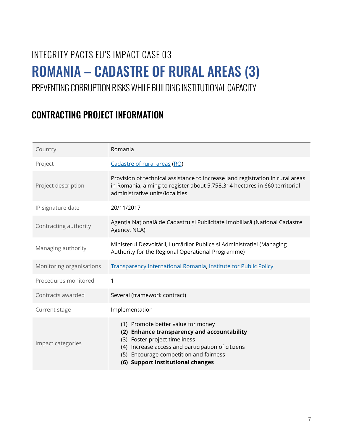## <span id="page-7-0"></span>INTEGRITY PACTS EU'S IMPACT CASE 03 ROMANIA – CADASTRE OF RURAL AREAS (3)

#### PREVENTING CORRUPTION RISKS WHILE BUILDING INSTITUTIONAL CAPACITY

| Country                  | Romania                                                                                                                                                                                                                                                |
|--------------------------|--------------------------------------------------------------------------------------------------------------------------------------------------------------------------------------------------------------------------------------------------------|
| Project                  | Cadastre of rural areas (RO)                                                                                                                                                                                                                           |
| Project description      | Provision of technical assistance to increase land registration in rural areas<br>in Romania, aiming to register about 5.758.314 hectares in 660 territorial<br>administrative units/localities.                                                       |
| IP signature date        | 20/11/2017                                                                                                                                                                                                                                             |
| Contracting authority    | Agenția Națională de Cadastru și Publicitate Imobiliară (National Cadastre<br>Agency, NCA)                                                                                                                                                             |
| Managing authority       | Ministerul Dezvoltării, Lucrărilor Publice și Administrației (Managing<br>Authority for the Regional Operational Programme)                                                                                                                            |
| Monitoring organisations | Transparency International Romania, Institute for Public Policy                                                                                                                                                                                        |
| Procedures monitored     | 1                                                                                                                                                                                                                                                      |
| Contracts awarded        | Several (framework contract)                                                                                                                                                                                                                           |
| Current stage            | Implementation                                                                                                                                                                                                                                         |
| Impact categories        | (1) Promote better value for money<br>(2) Enhance transparency and accountability<br>(3) Foster project timeliness<br>(4) Increase access and participation of citizens<br>(5) Encourage competition and fairness<br>(6) Support institutional changes |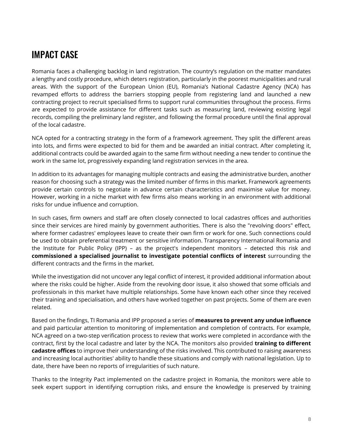Romania faces a challenging backlog in land registration. The country's regulation on the matter mandates a lengthy and costly procedure, which deters registration, particularly in the poorest municipalities and rural areas. With the support of the European Union (EU), Romania's National Cadastre Agency (NCA) has revamped efforts to address the barriers stopping people from registering land and launched a new contracting project to recruit specialised firms to support rural communities throughout the process. Firms are expected to provide assistance for different tasks such as measuring land, reviewing existing legal records, compiling the preliminary land register, and following the formal procedure until the final approval of the local cadastre.

NCA opted for a contracting strategy in the form of a framework agreement. They split the different areas into lots, and firms were expected to bid for them and be awarded an initial contract. After completing it, additional contracts could be awarded again to the same firm without needing a new tender to continue the work in the same lot, progressively expanding land registration services in the area.

In addition to its advantages for managing multiple contracts and easing the administrative burden, another reason for choosing such a strategy was the limited number of firms in this market. Framework agreements provide certain controls to negotiate in advance certain characteristics and maximise value for money. However, working in a niche market with few firms also means working in an environment with additional risks for undue influence and corruption.

In such cases, firm owners and staff are often closely connected to local cadastres offices and authorities since their services are hired mainly by government authorities. There is also the "revolving doors" effect, where former cadastres' employees leave to create their own firm or work for one. Such connections could be used to obtain preferential treatment or sensitive information. Transparency International Romania and the Institute for Public Policy (IPP) – as the project's independent monitors – detected this risk and **commissioned a specialised journalist to investigate potential conflicts of interest** surrounding the different contracts and the firms in the market.

While the investigation did not uncover any legal conflict of interest, it provided additional information about where the risks could be higher. Aside from the revolving door issue, it also showed that some officials and professionals in this market have multiple relationships. Some have known each other since they received their training and specialisation, and others have worked together on past projects. Some of them are even related.

Based on the findings, TI Romania and IPP proposed a series of **measures to prevent any undue influence** and paid particular attention to monitoring of implementation and completion of contracts. For example, NCA agreed on a two-step verification process to review that works were completed in accordance with the contract, first by the local cadastre and later by the NCA. The monitors also provided **training to different cadastre offices** to improve their understanding of the risks involved. This contributed to raising awareness and increasing local authorities' ability to handle these situations and comply with national legislation. Up to date, there have been no reports of irregularities of such nature.

Thanks to the Integrity Pact implemented on the cadastre project in Romania, the monitors were able to seek expert support in identifying corruption risks, and ensure the knowledge is preserved by training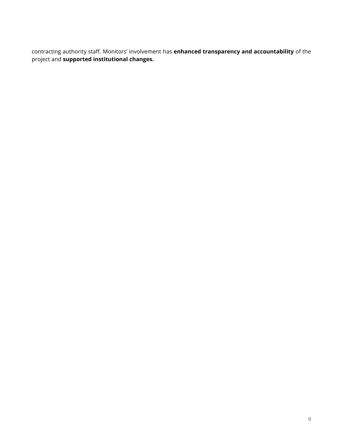contracting authority staff. Monitors' involvement has **enhanced transparency and accountability** of the project and **supported institutional changes.**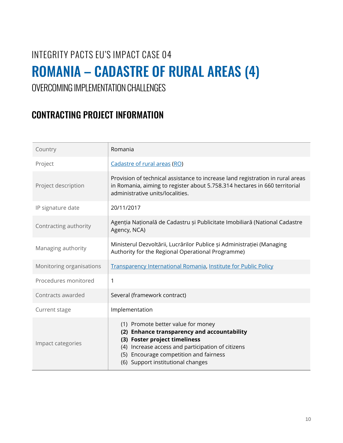## <span id="page-10-0"></span>INTEGRITY PACTS EU'S IMPACT CASE 04 ROMANIA – CADASTRE OF RURAL AREAS (4)

#### OVERCOMING IMPLEMENTATION CHALLENGES

| Country                  | Romania                                                                                                                                                                                                                                                |
|--------------------------|--------------------------------------------------------------------------------------------------------------------------------------------------------------------------------------------------------------------------------------------------------|
| Project                  | Cadastre of rural areas (RO)                                                                                                                                                                                                                           |
| Project description      | Provision of technical assistance to increase land registration in rural areas<br>in Romania, aiming to register about 5.758.314 hectares in 660 territorial<br>administrative units/localities.                                                       |
| IP signature date        | 20/11/2017                                                                                                                                                                                                                                             |
| Contracting authority    | Agenția Națională de Cadastru și Publicitate Imobiliară (National Cadastre<br>Agency, NCA)                                                                                                                                                             |
| Managing authority       | Ministerul Dezvoltării, Lucrărilor Publice și Administrației (Managing<br>Authority for the Regional Operational Programme)                                                                                                                            |
| Monitoring organisations | Transparency International Romania, Institute for Public Policy                                                                                                                                                                                        |
| Procedures monitored     | $\mathbf{1}$                                                                                                                                                                                                                                           |
| Contracts awarded        | Several (framework contract)                                                                                                                                                                                                                           |
| Current stage            | Implementation                                                                                                                                                                                                                                         |
| Impact categories        | (1) Promote better value for money<br>(2) Enhance transparency and accountability<br>(3) Foster project timeliness<br>(4) Increase access and participation of citizens<br>(5) Encourage competition and fairness<br>(6) Support institutional changes |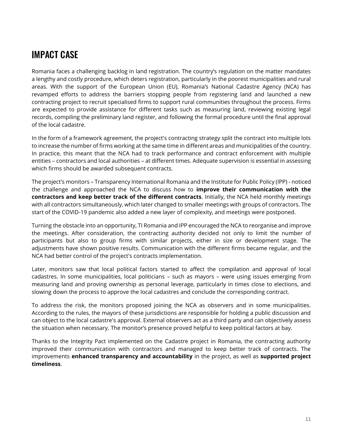Romania faces a challenging backlog in land registration. The country's regulation on the matter mandates a lengthy and costly procedure, which deters registration, particularly in the poorest municipalities and rural areas. With the support of the European Union (EU), Romania's National Cadastre Agency (NCA) has revamped efforts to address the barriers stopping people from registering land and launched a new contracting project to recruit specialised firms to support rural communities throughout the process. Firms are expected to provide assistance for different tasks such as measuring land, reviewing existing legal records, compiling the preliminary land register, and following the formal procedure until the final approval of the local cadastre.

In the form of a framework agreement, the project's contracting strategy split the contract into multiple lots to increase the number of firms working at the same time in different areas and municipalities of the country. In practice, this meant that the NCA had to track performance and contract enforcement with multiple entities – contractors and local authorities – at different times. Adequate supervision is essential in assessing which firms should be awarded subsequent contracts.

The project's monitors – Transparency International Romania and the Institute for Public Policy (IPP) - noticed the challenge and approached the NCA to discuss how to **improve their communication with the contractors and keep better track of the different contracts**. Initially, the NCA held monthly meetings with all contractors simultaneously, which later changed to smaller meetings with groups of contractors. The start of the COVID-19 pandemic also added a new layer of complexity, and meetings were postponed.

Turning the obstacle into an opportunity, TI Romania and IPP encouraged the NCA to reorganise and improve the meetings. After consideration, the contracting authority decided not only to limit the number of participants but also to group firms with similar projects, either in size or development stage. The adjustments have shown positive results. Communication with the different firms became regular, and the NCA had better control of the project's contracts implementation.

Later, monitors saw that local political factors started to affect the compilation and approval of local cadastres. In some municipalities, local politicians – such as mayors – were using issues emerging from measuring land and proving ownership as personal leverage, particularly in times close to elections, and slowing down the process to approve the local cadastres and conclude the corresponding contract.

To address the risk, the monitors proposed joining the NCA as observers and in some municipalities. According to the rules, the mayors of these jurisdictions are responsible for holding a public discussion and can object to the local cadastre's approval. External observers act as a third party and can objectively assess the situation when necessary. The monitor's presence proved helpful to keep political factors at bay.

Thanks to the Integrity Pact implemented on the Cadastre project in Romania, the contracting authority improved their communication with contractors and managed to keep better track of contracts. The improvements **enhanced transparency and accountability** in the project, as well as **supported project timeliness**.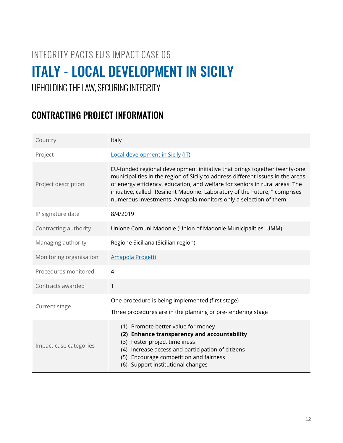### <span id="page-12-0"></span>INTEGRITY PACTS EU'S IMPACT CASE 05 ITALY - LOCAL DEVELOPMENT IN SICILY

#### UPHOLDING THE LAW, SECURING INTEGRITY

| Country                 | Italy                                                                                                                                                                                                                                                                                                                                                                                            |
|-------------------------|--------------------------------------------------------------------------------------------------------------------------------------------------------------------------------------------------------------------------------------------------------------------------------------------------------------------------------------------------------------------------------------------------|
| Project                 | Local development in Sicily (IT)                                                                                                                                                                                                                                                                                                                                                                 |
| Project description     | EU-funded regional development initiative that brings together twenty-one<br>municipalities in the region of Sicily to address different issues in the areas<br>of energy efficiency, education, and welfare for seniors in rural areas. The<br>initiative, called "Resilient Madonie: Laboratory of the Future, " comprises<br>numerous investments. Amapola monitors only a selection of them. |
| IP signature date       | 8/4/2019                                                                                                                                                                                                                                                                                                                                                                                         |
| Contracting authority   | Unione Comuni Madonie (Union of Madonie Municipalities, UMM)                                                                                                                                                                                                                                                                                                                                     |
| Managing authority      | Regione Siciliana (Sicilian region)                                                                                                                                                                                                                                                                                                                                                              |
| Monitoring organisation | Amapola Progetti                                                                                                                                                                                                                                                                                                                                                                                 |
| Procedures monitored    | $\overline{4}$                                                                                                                                                                                                                                                                                                                                                                                   |
| Contracts awarded       | $\mathbf{1}$                                                                                                                                                                                                                                                                                                                                                                                     |
| Current stage           | One procedure is being implemented (first stage)<br>Three procedures are in the planning or pre-tendering stage                                                                                                                                                                                                                                                                                  |
| Impact case categories  | (1) Promote better value for money<br>(2) Enhance transparency and accountability<br>(3) Foster project timeliness<br>(4) Increase access and participation of citizens<br>(5) Encourage competition and fairness<br>(6) Support institutional changes                                                                                                                                           |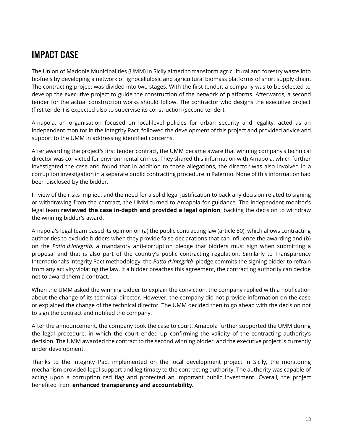The Union of Madonie Municipalities (UMM) in Sicily aimed to transform agricultural and forestry waste into biofuels by developing a network of lignocellulosic and agricultural biomass platforms of short supply chain. The contracting project was divided into two stages. With the first tender, a company was to be selected to develop the executive project to guide the construction of the network of platforms. Afterwards, a second tender for the actual construction works should follow. The contractor who designs the executive project (first tender) is expected also to supervise its construction (second tender).

Amapola, an organisation focused on local-level policies for urban security and legality, acted as an independent monitor in the Integrity Pact, followed the development of this project and provided advice and support to the UMM in addressing identified concerns.

After awarding the project's first tender contract, the UMM became aware that winning company's technical director was convicted for environmental crimes. They shared this information with Amapola, which further investigated the case and found that in addition to those allegations, the director was also involved in a corruption investigation in a separate public contracting procedure in Palermo. None of this information had been disclosed by the bidder.

In view of the risks implied, and the need for a solid legal justification to back any decision related to signing or withdrawing from the contract, the UMM turned to Amapola for guidance. The independent monitor's legal team **reviewed the case in-depth and provided a legal opinion**, backing the decision to withdraw the winning bidder's award.

Amapola's legal team based its opinion on (a) the public contracting law (article 80), which allows contracting authorities to exclude bidders when they provide false declarations that can influence the awarding and (b) on the *Patto d'Integrità,* a mandatory anti-corruption pledge that bidders must sign when submitting a proposal and that is also part of the country's public contracting regulation. Similarly to Transparency International's Integrity Pact methodology, the *Patto d'Integrità* pledge commits the signing bidder to refrain from any activity violating the law. If a bidder breaches this agreement, the contracting authority can decide not to award them a contract.

When the UMM asked the winning bidder to explain the conviction, the company replied with a notification about the change of its technical director. However, the company did not provide information on the case or explained the change of the technical director. The UMM decided then to go ahead with the decision not to sign the contract and notified the company.

After the announcement, the company took the case to court. Amapola further supported the UMM during the legal procedure, in which the court ended up confirming the validity of the contracting authority's decision. The UMM awarded the contract to the second winning bidder, and the executive project is currently under development.

Thanks to the Integrity Pact implemented on the local development project in Sicily, the monitoring mechanism provided legal support and legitimacy to the contracting authority. The authority was capable of acting upon a corruption red flag and protected an important public investment. Overall, the project benefited from **enhanced transparency and accountability.**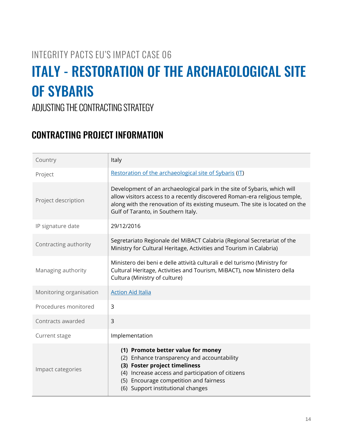#### INTEGRITY PACTS EU'S IMPACT CASE 06

## <span id="page-14-0"></span>ITALY - RESTORATION OF THE ARCHAEOLOGICAL SITE OF SYBARIS

ADJUSTING THE CONTRACTING STRATEGY

| Country                 | Italy                                                                                                                                                                                                                                                                         |
|-------------------------|-------------------------------------------------------------------------------------------------------------------------------------------------------------------------------------------------------------------------------------------------------------------------------|
| Project                 | Restoration of the archaeological site of Sybaris (IT)                                                                                                                                                                                                                        |
| Project description     | Development of an archaeological park in the site of Sybaris, which will<br>allow visitors access to a recently discovered Roman-era religious temple,<br>along with the renovation of its existing museum. The site is located on the<br>Gulf of Taranto, in Southern Italy. |
| IP signature date       | 29/12/2016                                                                                                                                                                                                                                                                    |
| Contracting authority   | Segretariato Regionale del MiBACT Calabria (Regional Secretariat of the<br>Ministry for Cultural Heritage, Activities and Tourism in Calabria)                                                                                                                                |
| Managing authority      | Ministero dei beni e delle attività culturali e del turismo (Ministry for<br>Cultural Heritage, Activities and Tourism, MiBACT), now Ministero della<br>Cultura (Ministry of culture)                                                                                         |
| Monitoring organisation | <b>Action Aid Italia</b>                                                                                                                                                                                                                                                      |
| Procedures monitored    | $\overline{3}$                                                                                                                                                                                                                                                                |
| Contracts awarded       | $\overline{3}$                                                                                                                                                                                                                                                                |
| Current stage           | Implementation                                                                                                                                                                                                                                                                |
| Impact categories       | (1) Promote better value for money<br>(2) Enhance transparency and accountability<br>(3) Foster project timeliness<br>(4) Increase access and participation of citizens<br>(5) Encourage competition and fairness<br>(6) Support institutional changes                        |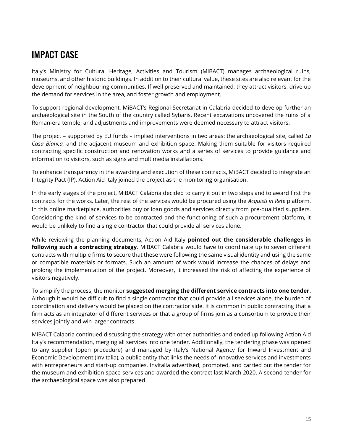Italy's Ministry for Cultural Heritage, Activities and Tourism (MiBACT) manages archaeological ruins, museums, and other historic buildings. In addition to their cultural value, these sites are also relevant for the development of neighbouring communities. If well preserved and maintained, they attract visitors, drive up the demand for services in the area, and foster growth and employment.

To support regional development, MiBACT's Regional Secretariat in Calabria decided to develop further an archaeological site in the South of the country called Sybaris. Recent excavations uncovered the ruins of a Roman-era temple, and adjustments and improvements were deemed necessary to attract visitors.

The project – supported by EU funds – implied interventions in two areas: the archaeological site, called *La Casa Bianca,* and the adjacent museum and exhibition space. Making them suitable for visitors required contracting specific construction and renovation works and a series of services to provide guidance and information to visitors, such as signs and multimedia installations.

To enhance transparency in the awarding and execution of these contracts, MiBACT decided to integrate an Integrity Pact (IP). Action Aid Italy joined the project as the monitoring organisation.

In the early stages of the project, MiBACT Calabria decided to carry it out in two steps and to award first the contracts for the works. Later, the rest of the services would be procured using the *Acquisti in Rete* platform. In this online marketplace, authorities buy or loan goods and services directly from pre-qualified suppliers. Considering the kind of services to be contracted and the functioning of such a procurement platform, it would be unlikely to find a single contractor that could provide all services alone.

While reviewing the planning documents, Action Aid Italy **pointed out the considerable challenges in following such a contracting strategy**. MiBACT Calabria would have to coordinate up to seven different contracts with multiple firms to secure that these were following the same visual identity and using the same or compatible materials or formats. Such an amount of work would increase the chances of delays and prolong the implementation of the project. Moreover, it increased the risk of affecting the experience of visitors negatively.

To simplify the process, the monitor **suggested merging the different service contracts into one tender**. Although it would be difficult to find a single contractor that could provide all services alone, the burden of coordination and delivery would be placed on the contractor side. It is common in public contracting that a firm acts as an integrator of different services or that a group of firms join as a consortium to provide their services jointly and win larger contracts.

MiBACT Calabria continued discussing the strategy with other authorities and ended up following Action Aid Italy's recommendation, merging all services into one tender. Additionally, the tendering phase was opened to any supplier (open procedure) and managed by Italy's National Agency for Inward Investment and Economic Development (Invitalia), a public entity that links the needs of innovative services and investments with entrepreneurs and start-up companies. Invitalia advertised, promoted, and carried out the tender for the museum and exhibition space services and awarded the contract last March 2020. A second tender for the archaeological space was also prepared.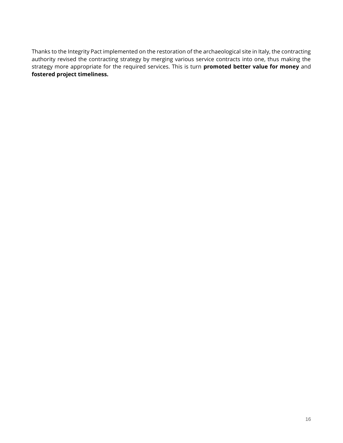Thanks to the Integrity Pact implemented on the restoration of the archaeological site in Italy, the contracting authority revised the contracting strategy by merging various service contracts into one, thus making the strategy more appropriate for the required services. This is turn **promoted better value for money** and **fostered project timeliness.**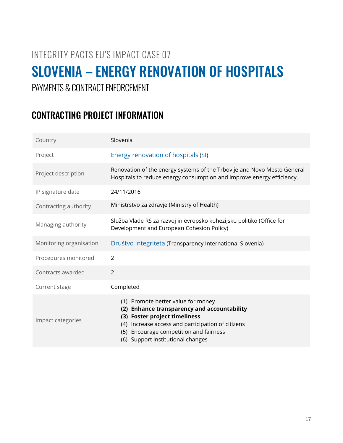#### INTEGRITY PACTS EU'S IMPACT CASE 07

## <span id="page-17-0"></span>SLOVENIA – ENERGY RENOVATION OF HOSPITALS

#### PAYMENTS & CONTRACT ENFORCEMENT

| Country                 | Slovenia                                                                                                                                                                                                                                               |
|-------------------------|--------------------------------------------------------------------------------------------------------------------------------------------------------------------------------------------------------------------------------------------------------|
| Project                 | <b>Energy renovation of hospitals (SI)</b>                                                                                                                                                                                                             |
| Project description     | Renovation of the energy systems of the Trbovlje and Novo Mesto General<br>Hospitals to reduce energy consumption and improve energy efficiency.                                                                                                       |
| IP signature date       | 24/11/2016                                                                                                                                                                                                                                             |
| Contracting authority   | Ministrstvo za zdravje (Ministry of Health)                                                                                                                                                                                                            |
| Managing authority      | Služba Vlade RS za razvoj in evropsko kohezijsko politiko (Office for<br>Development and European Cohesion Policy)                                                                                                                                     |
| Monitoring organisation | Društvo Integriteta (Transparency International Slovenia)                                                                                                                                                                                              |
| Procedures monitored    | $\overline{2}$                                                                                                                                                                                                                                         |
| Contracts awarded       | $\overline{2}$                                                                                                                                                                                                                                         |
| Current stage           | Completed                                                                                                                                                                                                                                              |
| Impact categories       | (1) Promote better value for money<br>(2) Enhance transparency and accountability<br>(3) Foster project timeliness<br>(4) Increase access and participation of citizens<br>(5) Encourage competition and fairness<br>(6) Support institutional changes |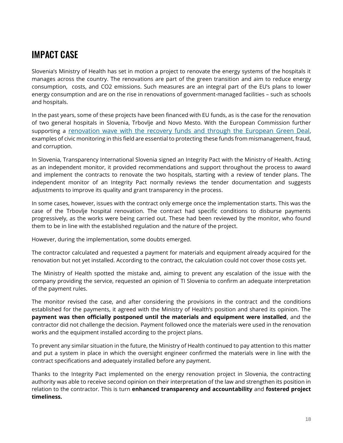Slovenia's Ministry of Health has set in motion a project to renovate the energy systems of the hospitals it manages across the country. The renovations are part of the green transition and aim to reduce energy consumption, costs, and CO2 emissions. Such measures are an integral part of the EU's plans to lower energy consumption and are on the rise in renovations of government-managed facilities – such as schools and hospitals.

In the past years, some of these projects have been financed with EU funds, as is the case for the renovation of two general hospitals in Slovenia, Trbovlje and Novo Mesto. With the European Commission further supporting a [renovation wave with the recovery funds and through the European Green Deal](https://ec.europa.eu/energy/topics/energy-efficiency/energy-efficient-buildings/renovation-wave_en), examples of civic monitoring in this field are essential to protecting these funds from mismanagement, fraud, and corruption.

In Slovenia, Transparency International Slovenia signed an Integrity Pact with the Ministry of Health. Acting as an independent monitor, it provided recommendations and support throughout the process to award and implement the contracts to renovate the two hospitals, starting with a review of tender plans. The independent monitor of an Integrity Pact normally reviews the tender documentation and suggests adjustments to improve its quality and grant transparency in the process.

In some cases, however, issues with the contract only emerge once the implementation starts. This was the case of the Trbovlje hospital renovation. The contract had specific conditions to disburse payments progressively, as the works were being carried out. These had been reviewed by the monitor, who found them to be in line with the established regulation and the nature of the project.

However, during the implementation, some doubts emerged.

The contractor calculated and requested a payment for materials and equipment already acquired for the renovation but not yet installed. According to the contract, the calculation could not cover those costs yet.

The Ministry of Health spotted the mistake and, aiming to prevent any escalation of the issue with the company providing the service, requested an opinion of TI Slovenia to confirm an adequate interpretation of the payment rules.

The monitor revised the case, and after considering the provisions in the contract and the conditions established for the payments, it agreed with the Ministry of Health's position and shared its opinion. The **payment was then officially postponed until the materials and equipment were installed**, and the contractor did not challenge the decision. Payment followed once the materials were used in the renovation works and the equipment installed according to the project plans.

To prevent any similar situation in the future, the Ministry of Health continued to pay attention to this matter and put a system in place in which the oversight engineer confirmed the materials were in line with the contract specifications and adequately installed before any payment.

Thanks to the Integrity Pact implemented on the energy renovation project in Slovenia, the contracting authority was able to receive second opinion on their interpretation of the law and strengthen its position in relation to the contractor. This is turn **enhanced transparency and accountability** and **fostered project timeliness.**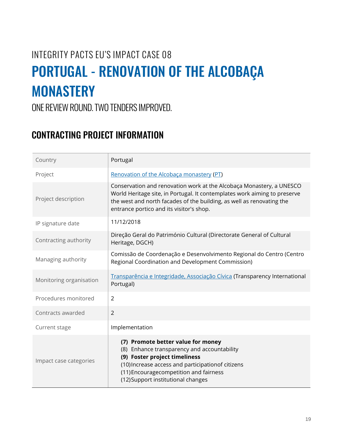## <span id="page-19-0"></span>INTEGRITY PACTS EU'S IMPACT CASE 08 PORTUGAL - RENOVATION OF THE ALCOBAÇA **MONASTERY**

ONE REVIEW ROUND. TWO TENDERS IMPROVED.

| Country                 | Portugal                                                                                                                                                                                                                                                               |
|-------------------------|------------------------------------------------------------------------------------------------------------------------------------------------------------------------------------------------------------------------------------------------------------------------|
| Project                 | Renovation of the Alcobaca monastery (PT)                                                                                                                                                                                                                              |
| Project description     | Conservation and renovation work at the Alcobaça Monastery, a UNESCO<br>World Heritage site, in Portugal. It contemplates work aiming to preserve<br>the west and north facades of the building, as well as renovating the<br>entrance portico and its visitor's shop. |
| IP signature date       | 11/12/2018                                                                                                                                                                                                                                                             |
| Contracting authority   | Direção Geral do Património Cultural (Directorate General of Cultural<br>Heritage, DGCH)                                                                                                                                                                               |
| Managing authority      | Comissão de Coordenação e Desenvolvimento Regional do Centro (Centro<br>Regional Coordination and Development Commission)                                                                                                                                              |
| Monitoring organisation | Transparência e Integridade, Associação Cívica (Transparency International<br>Portugal)                                                                                                                                                                                |
| Procedures monitored    | $\overline{2}$                                                                                                                                                                                                                                                         |
| Contracts awarded       | $\overline{2}$                                                                                                                                                                                                                                                         |
| Current stage           | Implementation                                                                                                                                                                                                                                                         |
| Impact case categories  | (7) Promote better value for money<br>(8) Enhance transparency and accountability<br>(9) Foster project timeliness<br>(10) Increase access and participationof citizens<br>(11) Encouragecompetition and fairness<br>(12) Support institutional changes                |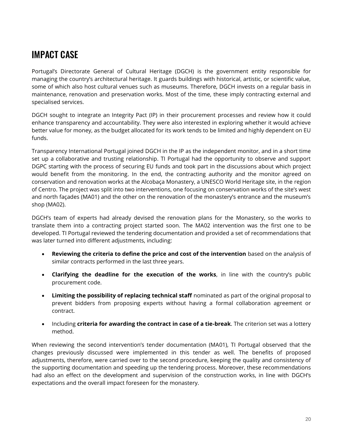Portugal's Directorate General of Cultural Heritage (DGCH) is the government entity responsible for managing the country's architectural heritage. It guards buildings with historical, artistic, or scientific value, some of which also host cultural venues such as museums. Therefore, DGCH invests on a regular basis in maintenance, renovation and preservation works. Most of the time, these imply contracting external and specialised services.

DGCH sought to integrate an Integrity Pact (IP) in their procurement processes and review how it could enhance transparency and accountability. They were also interested in exploring whether it would achieve better value for money, as the budget allocated for its work tends to be limited and highly dependent on EU funds.

Transparency International Portugal joined DGCH in the IP as the independent monitor, and in a short time set up a collaborative and trusting relationship. TI Portugal had the opportunity to observe and support DGPC starting with the process of securing EU funds and took part in the discussions about which project would benefit from the monitoring. In the end, the contracting authority and the monitor agreed on conservation and renovation works at the Alcobaça Monastery, a UNESCO World Heritage site, in the region of Centro. The project was split into two interventions, one focusing on conservation works of the site's west and north façades (MA01) and the other on the renovation of the monastery's entrance and the museum's shop (MA02).

DGCH's team of experts had already devised the renovation plans for the Monastery, so the works to translate them into a contracting project started soon. The MA02 intervention was the first one to be developed. TI Portugal reviewed the tendering documentation and provided a set of recommendations that was later turned into different adjustments, including:

- **Reviewing the criteria to define the price and cost of the intervention** based on the analysis of similar contracts performed in the last three years.
- **Clarifying the deadline for the execution of the works**, in line with the country's public procurement code.
- **Limiting the possibility of replacing technical staff** nominated as part of the original proposal to prevent bidders from proposing experts without having a formal collaboration agreement or contract.
- Including **criteria for awarding the contract in case of a tie-break**. The criterion set was a lottery method.

When reviewing the second intervention's tender documentation (MA01), TI Portugal observed that the changes previously discussed were implemented in this tender as well. The benefits of proposed adjustments, therefore, were carried over to the second procedure, keeping the quality and consistency of the supporting documentation and speeding up the tendering process. Moreover, these recommendations had also an effect on the development and supervision of the construction works, in line with DGCH's expectations and the overall impact foreseen for the monastery.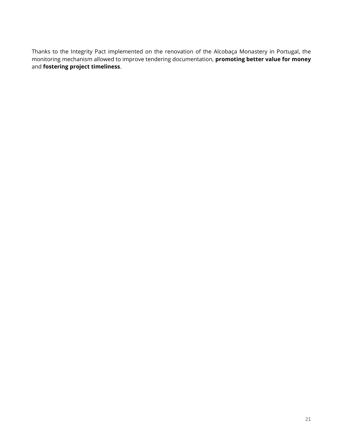Thanks to the Integrity Pact implemented on the renovation of the Alcobaça Monastery in Portugal, the monitoring mechanism allowed to improve tendering documentation, **promoting better value for money** and **fostering project timeliness**.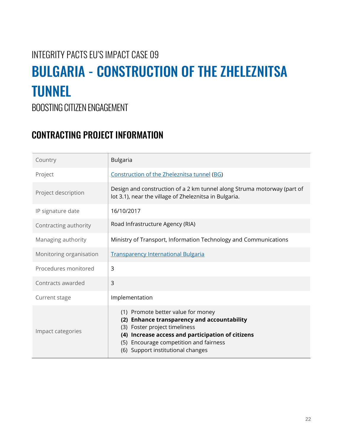## <span id="page-22-0"></span>INTEGRITY PACTS EU'S IMPACT CASE 09 BULGARIA - CONSTRUCTION OF THE ZHELEZNITSA TUNNEL

BOOSTING CITIZEN ENGAGEMENT

| Country                 | <b>Bulgaria</b>                                                                                                                                                                                                                                        |
|-------------------------|--------------------------------------------------------------------------------------------------------------------------------------------------------------------------------------------------------------------------------------------------------|
| Project                 | Construction of the Zheleznitsa tunnel (BG)                                                                                                                                                                                                            |
| Project description     | Design and construction of a 2 km tunnel along Struma motorway (part of<br>lot 3.1), near the village of Zheleznitsa in Bulgaria.                                                                                                                      |
| IP signature date       | 16/10/2017                                                                                                                                                                                                                                             |
| Contracting authority   | Road Infrastructure Agency (RIA)                                                                                                                                                                                                                       |
| Managing authority      | Ministry of Transport, Information Technology and Communications                                                                                                                                                                                       |
| Monitoring organisation | <b>Transparency International Bulgaria</b>                                                                                                                                                                                                             |
| Procedures monitored    | 3                                                                                                                                                                                                                                                      |
| Contracts awarded       | 3                                                                                                                                                                                                                                                      |
| Current stage           | Implementation                                                                                                                                                                                                                                         |
| Impact categories       | (1) Promote better value for money<br>(2) Enhance transparency and accountability<br>(3) Foster project timeliness<br>(4) Increase access and participation of citizens<br>(5) Encourage competition and fairness<br>(6) Support institutional changes |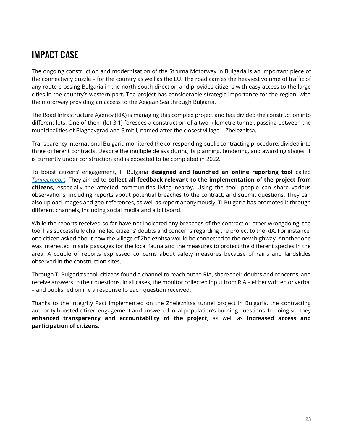The ongoing construction and modernisation of the Struma Motorway in Bulgaria is an important piece of the connectivity puzzle – for the country as well as the EU. The road carries the heaviest volume of traffic of any route crossing Bulgaria in the north-south direction and provides citizens with easy access to the large cities in the country's western part. The project has considerable strategic importance for the region, with the motorway providing an access to the Aegean Sea through Bulgaria.

The Road Infrastructure Agency (RIA) is managing this complex project and has divided the construction into different lots. One of them (lot 3.1) foresees a construction of a two-kilometre tunnel, passing between the municipalities of Blagoevgrad and Simitli, named after the closest village – Zheleznitsa.

Transparency International Bulgaria monitored the corresponding public contracting procedure, divided into three different contracts. Despite the multiple delays during its planning, tendering, and awarding stages, it is currently under construction and is expected to be completed in 2022.

To boost citizens' engagement, TI Bulgaria **designed and launched an online reporting tool** called *[Tunnel.report](https://integrity.transparency.bg/tunnel/)*. They aimed to **collect all feedback relevant to the implementation of the project from citizens**, especially the affected communities living nearby. Using the tool, people can share various observations, including reports about potential breaches to the contract, and submit questions. They can also upload images and geo-references, as well as report anonymously. TI Bulgaria has promoted it through different channels, including social media and a billboard.

While the reports received so far have not indicated any breaches of the contract or other wrongdoing, the tool has successfully channelled citizens' doubts and concerns regarding the project to the RIA. For instance, one citizen asked about how the village of Zheleznitsa would be connected to the new highway. Another one was interested in safe passages for the local fauna and the measures to protect the different species in the area. A couple of reports expressed concerns about safety measures because of rains and landslides observed in the construction sites.

Through TI Bulgaria's tool, citizens found a channel to reach out to RIA, share their doubts and concerns, and receive answers to their questions. In all cases, the monitor collected input from RIA – either written or verbal – and published online a response to each question received.

Thanks to the Integrity Pact implemented on the Zheleznitsa tunnel project in Bulgaria, the contracting authority boosted citizen engagement and answered local population's burning questions. In doing so, they **enhanced transparency and accountability of the project**, as well as **increased access and participation of citizens.**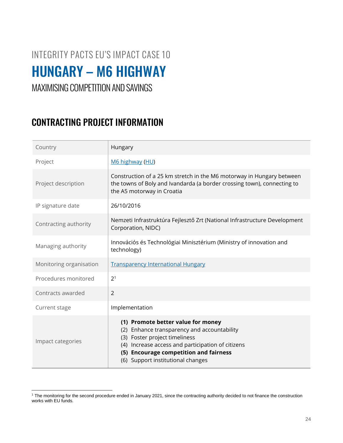## <span id="page-24-0"></span>INTEGRITY PACTS EU'S IMPACT CASE 10 HUNGARY – M6 HIGHWAY

#### MAXIMISING COMPETITION AND SAVINGS

| Country                 | Hungary                                                                                                                                                                                                                                                   |
|-------------------------|-----------------------------------------------------------------------------------------------------------------------------------------------------------------------------------------------------------------------------------------------------------|
| Project                 | M6 highway (HU)                                                                                                                                                                                                                                           |
| Project description     | Construction of a 25 km stretch in the M6 motorway in Hungary between<br>the towns of Boly and Ivandarda (a border crossing town), connecting to<br>the A5 motorway in Croatia                                                                            |
| IP signature date       | 26/10/2016                                                                                                                                                                                                                                                |
| Contracting authority   | Nemzeti Infrastruktúra Fejlesztő Zrt (National Infrastructure Development<br>Corporation, NIDC)                                                                                                                                                           |
| Managing authority      | Innovációs és Technológiai Minisztérium (Ministry of innovation and<br>technology)                                                                                                                                                                        |
| Monitoring organisation | <b>Transparency International Hungary</b>                                                                                                                                                                                                                 |
| Procedures monitored    | 2 <sup>1</sup>                                                                                                                                                                                                                                            |
| Contracts awarded       | $\overline{2}$                                                                                                                                                                                                                                            |
| Current stage           | Implementation                                                                                                                                                                                                                                            |
| Impact categories       | (1) Promote better value for money<br>Enhance transparency and accountability<br>(2)<br>(3) Foster project timeliness<br>(4) Increase access and participation of citizens<br>(5) Encourage competition and fairness<br>(6) Support institutional changes |

<sup>&</sup>lt;sup>1</sup> The monitoring for the second procedure ended in January 2021, since the contracting authority decided to not finance the construction works with EU funds.